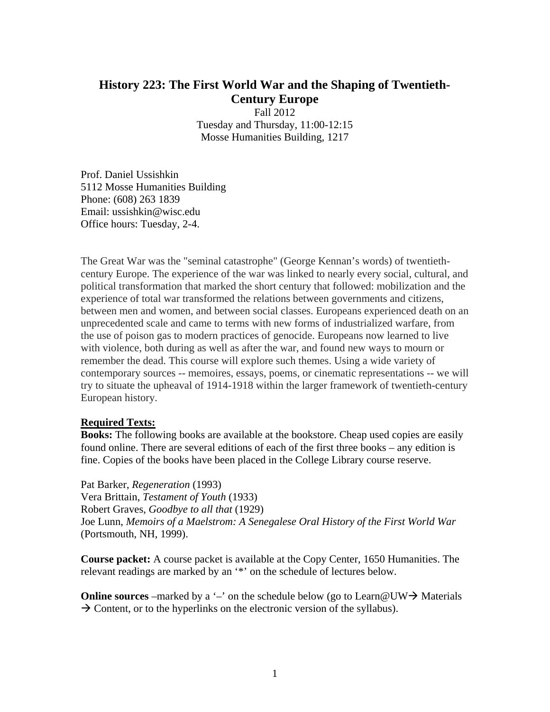## **History 223: The First World War and the Shaping of Twentieth-Century Europe**

Fall 2012 Tuesday and Thursday, 11:00-12:15 Mosse Humanities Building, 1217

Prof. Daniel Ussishkin 5112 Mosse Humanities Building Phone: (608) 263 1839 Email: ussishkin@wisc.edu Office hours: Tuesday, 2-4.

The Great War was the "seminal catastrophe" (George Kennan's words) of twentiethcentury Europe. The experience of the war was linked to nearly every social, cultural, and political transformation that marked the short century that followed: mobilization and the experience of total war transformed the relations between governments and citizens, between men and women, and between social classes. Europeans experienced death on an unprecedented scale and came to terms with new forms of industrialized warfare, from the use of poison gas to modern practices of genocide. Europeans now learned to live with violence, both during as well as after the war, and found new ways to mourn or remember the dead. This course will explore such themes. Using a wide variety of contemporary sources -- memoires, essays, poems, or cinematic representations -- we will try to situate the upheaval of 1914-1918 within the larger framework of twentieth-century European history.

## **Required Texts:**

**Books:** The following books are available at the bookstore. Cheap used copies are easily found online. There are several editions of each of the first three books – any edition is fine. Copies of the books have been placed in the College Library course reserve.

Pat Barker, *Regeneration* (1993) Vera Brittain, *Testament of Youth* (1933) Robert Graves, *Goodbye to all that* (1929) Joe Lunn, *Memoirs of a Maelstrom: A Senegalese Oral History of the First World War* (Portsmouth, NH, 1999).

**Course packet:** A course packet is available at the Copy Center, 1650 Humanities. The relevant readings are marked by an '\*' on the schedule of lectures below.

**Online sources** –marked by a '–' on the schedule below (go to Learn@UW  $\rightarrow$  Materials  $\rightarrow$  Content, or to the hyperlinks on the electronic version of the syllabus).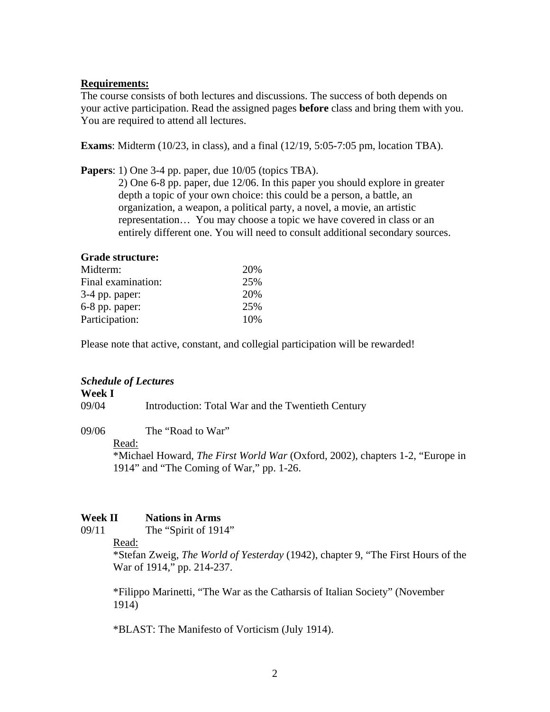## **Requirements:**

The course consists of both lectures and discussions. The success of both depends on your active participation. Read the assigned pages **before** class and bring them with you. You are required to attend all lectures.

**Exams**: Midterm (10/23, in class), and a final (12/19, 5:05-7:05 pm, location TBA).

**Papers**: 1) One 3-4 pp. paper, due 10/05 (topics TBA). 2) One 6-8 pp. paper, due 12/06. In this paper you should explore in greater depth a topic of your own choice: this could be a person, a battle, an organization, a weapon, a political party, a novel, a movie, an artistic representation… You may choose a topic we have covered in class or an

# entirely different one. You will need to consult additional secondary sources.

## **Grade structure:**

| 20% |
|-----|
| 25% |
| 20% |
| 25% |
| 10% |
|     |

Please note that active, constant, and collegial participation will be rewarded!

#### *Schedule of Lectures*

## **Week I**

09/04 Introduction: Total War and the Twentieth Century

09/06 The "Road to War"

#### Read:

\*Michael Howard, *The First World War* (Oxford, 2002), chapters 1-2, "Europe in 1914" and "The Coming of War," pp. 1-26.

#### **Week II Nations in Arms**

09/11 The "Spirit of 1914"

Read:

\*Stefan Zweig, *The World of Yesterday* (1942), chapter 9, "The First Hours of the War of 1914," pp. 214-237.

\*Filippo Marinetti, "The War as the Catharsis of Italian Society" (November 1914)

\*BLAST: The Manifesto of Vorticism (July 1914).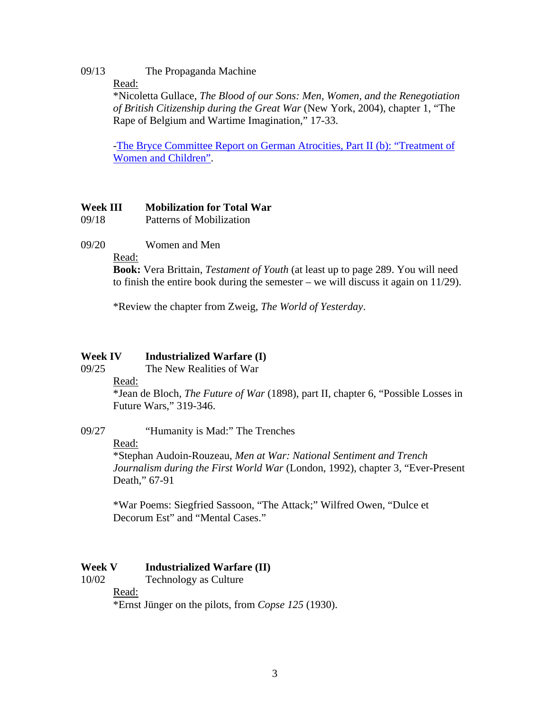## 09/13 The Propaganda Machine

Read:

\*Nicoletta Gullace, *The Blood of our Sons: Men, Women, and the Renegotiation of British Citizenship during the Great War* (New York, 2004), chapter 1, "The Rape of Belgium and Wartime Imagination," 17-33.

-The Bryce Committee Report on German Atrocities, Part II (b): "Treatment of Women and Children".

## **Week III Mobilization for Total War**

09/18 Patterns of Mobilization

09/20 Women and Men

Read:

**Book:** Vera Brittain, *Testament of Youth* (at least up to page 289. You will need to finish the entire book during the semester – we will discuss it again on 11/29).

\*Review the chapter from Zweig, *The World of Yesterday*.

## **Week IV Industrialized Warfare (I)**

09/25 The New Realities of War

Read:

 \*Jean de Bloch, *The Future of War* (1898), part II, chapter 6, "Possible Losses in Future Wars," 319-346.

## 09/27 "Humanity is Mad:" The Trenches

Read:

\*Stephan Audoin-Rouzeau, *Men at War: National Sentiment and Trench Journalism during the First World War* (London, 1992), chapter 3, "Ever-Present Death," 67-91

\*War Poems: Siegfried Sassoon, "The Attack;" Wilfred Owen, "Dulce et Decorum Est" and "Mental Cases."

## **Week V Industrialized Warfare (II)**

10/02 Technology as Culture

Read:

\*Ernst Jünger on the pilots, from *Copse 125* (1930).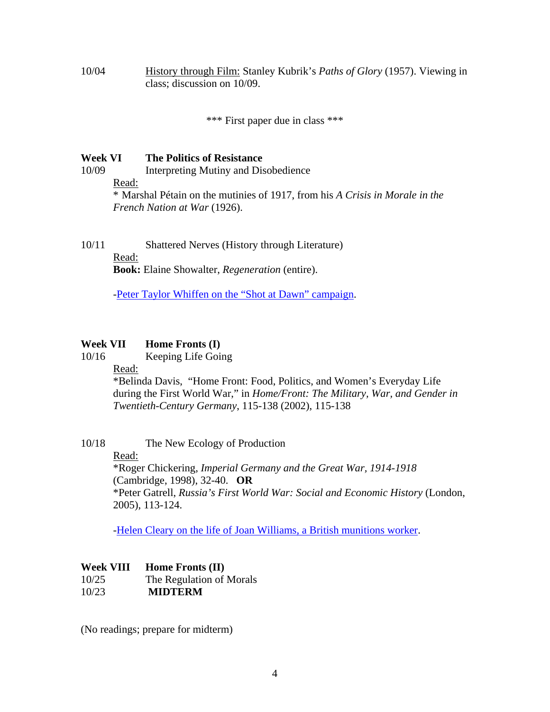10/04 History through Film: Stanley Kubrik's *Paths of Glory* (1957). Viewing in class; discussion on 10/09.

\*\*\* First paper due in class \*\*\*

## **Week VI The Politics of Resistance**

- 10/09 Interpreting Mutiny and Disobedience
	- Read:

\* Marshal Pétain on the mutinies of 1917, from his *A Crisis in Morale in the French Nation at War* (1926).

10/11 Shattered Nerves (History through Literature)

#### Read:

**Book:** Elaine Showalter, *Regeneration* (entire).

-Peter Taylor Whiffen on the "Shot at Dawn" campaign.

## **Week VII Home Fronts (I)**

10/16 Keeping Life Going

Read:

\*Belinda Davis, "Home Front: Food, Politics, and Women's Everyday Life during the First World War," in *Home/Front: The Military, War, and Gender in Twentieth-Century Germany*, 115-138 (2002), 115-138

- 10/18 The New Ecology of Production
	- Read:

\*Roger Chickering, *Imperial Germany and the Great War, 1914-1918* (Cambridge, 1998), 32-40. **OR**  \*Peter Gatrell, *Russia's First World War: Social and Economic History* (London, 2005), 113-124.

-Helen Cleary on the life of Joan Williams, a British munitions worker.

## **Week VIII Home Fronts (II)**

- 10/25 The Regulation of Morals
- 10/23 **MIDTERM**

(No readings; prepare for midterm)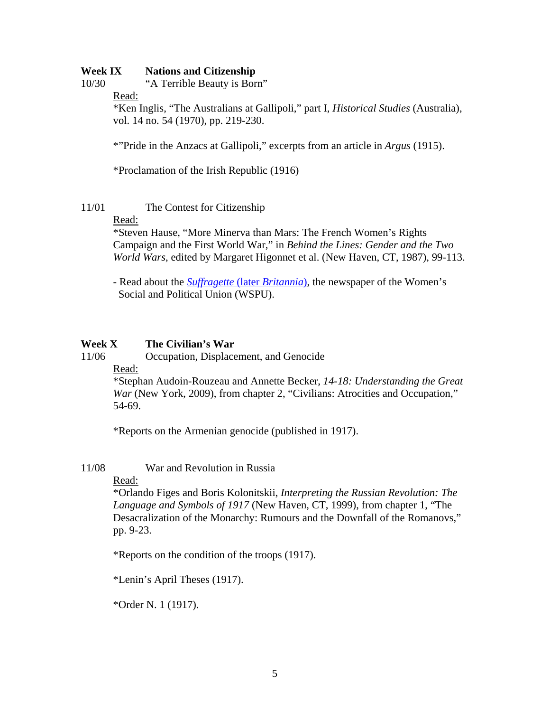## **Week IX Nations and Citizenship**

10/30 "A Terrible Beauty is Born"

Read:

\*Ken Inglis, "The Australians at Gallipoli," part I, *Historical Studies* (Australia), vol. 14 no. 54 (1970), pp. 219-230.

\*"Pride in the Anzacs at Gallipoli," excerpts from an article in *Argus* (1915).

\*Proclamation of the Irish Republic (1916)

## 11/01 The Contest for Citizenship

#### Read:

\*Steven Hause, "More Minerva than Mars: The French Women's Rights Campaign and the First World War," in *Behind the Lines: Gender and the Two World Wars*, edited by Margaret Higonnet et al. (New Haven, CT, 1987), 99-113.

 - Read about the *Suffragette* (later *Britannia*), the newspaper of the Women's Social and Political Union (WSPU).

## **Week X The Civilian's War**

11/06 Occupation, Displacement, and Genocide

Read:

 \*Stephan Audoin-Rouzeau and Annette Becker, *14-18: Understanding the Great War* (New York, 2009), from chapter 2, "Civilians: Atrocities and Occupation," 54-69.

\*Reports on the Armenian genocide (published in 1917).

11/08 War and Revolution in Russia

## Read:

 \*Orlando Figes and Boris Kolonitskii, *Interpreting the Russian Revolution: The Language and Symbols of 1917* (New Haven, CT, 1999), from chapter 1, "The Desacralization of the Monarchy: Rumours and the Downfall of the Romanovs," pp. 9-23.

\*Reports on the condition of the troops (1917).

\*Lenin's April Theses (1917).

\*Order N. 1 (1917).